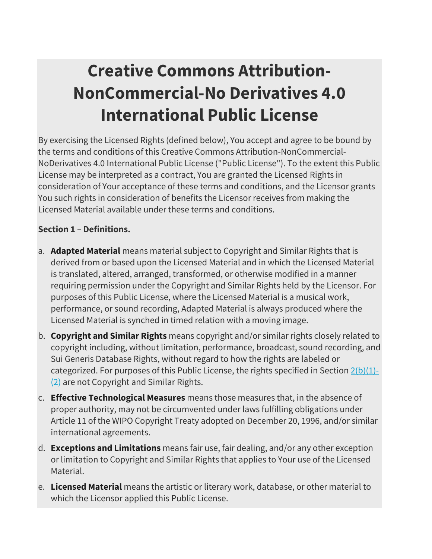# **Creative Commons Attribution-NonCommercial-No Derivatives 4.0 International Public License**

By exercising the Licensed Rights (defined below), You accept and agree to be bound by the terms and conditions of this Creative Commons Attribution-NonCommercial-NoDerivatives 4.0 International Public License ("Public License"). To the extent this Public License may be interpreted as a contract, You are granted the Licensed Rights in consideration of Your acceptance of these terms and conditions, and the Licensor grants You such rights in consideration of benefits the Licensor receives from making the Licensed Material available under these terms and conditions.

## **Section 1 – Definitions.**

- a. **Adapted Material** means material subject to Copyright and Similar Rights that is derived from or based upon the Licensed Material and in which the Licensed Material is translated, altered, arranged, transformed, or otherwise modified in a manner requiring permission under the Copyright and Similar Rights held by the Licensor. For purposes of this Public License, where the Licensed Material is a musical work, performance, or sound recording, Adapted Material is always produced where the Licensed Material is synched in timed relation with a moving image.
- b. **Copyright and Similar Rights** means copyright and/or similar rights closely related to copyright including, without limitation, performance, broadcast, sound recording, and Sui Generis Database Rights, without regard to how the rights are labeled or categorized. For purposes of this Public License, the rights specified in Section  $2(b)(1)$ -[\(2\)](https://creativecommons.org/licenses/by-nc-nd/4.0/legalcode#s2b) are not Copyright and Similar Rights.
- c. **Effective Technological Measures** means those measures that, in the absence of proper authority, may not be circumvented under laws fulfilling obligations under Article 11 of the WIPO Copyright Treaty adopted on December 20, 1996, and/or similar international agreements.
- d. **Exceptions and Limitations** means fair use, fair dealing, and/or any other exception or limitation to Copyright and Similar Rights that applies to Your use of the Licensed Material.
- e. **Licensed Material** means the artistic or literary work, database, or other material to which the Licensor applied this Public License.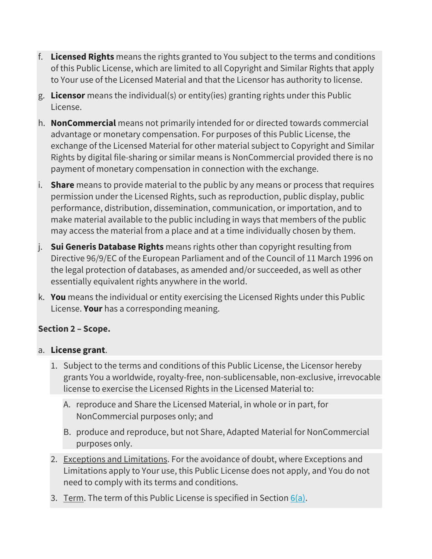- f. **Licensed Rights** means the rights granted to You subject to the terms and conditions of this Public License, which are limited to all Copyright and Similar Rights that apply to Your use of the Licensed Material and that the Licensor has authority to license.
- g. **Licensor** means the individual(s) or entity(ies) granting rights under this Public License.
- h. **NonCommercial** means not primarily intended for or directed towards commercial advantage or monetary compensation. For purposes of this Public License, the exchange of the Licensed Material for other material subject to Copyright and Similar Rights by digital file-sharing or similar means is NonCommercial provided there is no payment of monetary compensation in connection with the exchange.
- i. **Share** means to provide material to the public by any means or process that requires permission under the Licensed Rights, such as reproduction, public display, public performance, distribution, dissemination, communication, or importation, and to make material available to the public including in ways that members of the public may access the material from a place and at a time individually chosen by them.
- j. **Sui Generis Database Rights** means rights other than copyright resulting from Directive 96/9/EC of the European Parliament and of the Council of 11 March 1996 on the legal protection of databases, as amended and/or succeeded, as well as other essentially equivalent rights anywhere in the world.
- k. **You** means the individual or entity exercising the Licensed Rights under this Public License. **Your** has a corresponding meaning.

## **Section 2 – Scope.**

#### a. **License grant**.

- 1. Subject to the terms and conditions of this Public License, the Licensor hereby grants You a worldwide, royalty-free, non-sublicensable, non-exclusive, irrevocable license to exercise the Licensed Rights in the Licensed Material to:
	- A. reproduce and Share the Licensed Material, in whole or in part, for NonCommercial purposes only; and
	- B. produce and reproduce, but not Share, Adapted Material for NonCommercial purposes only.
- 2. Exceptions and Limitations. For the avoidance of doubt, where Exceptions and Limitations apply to Your use, this Public License does not apply, and You do not need to comply with its terms and conditions.
- 3. Term. The term of this Public License is specified in Section  $6(a)$ .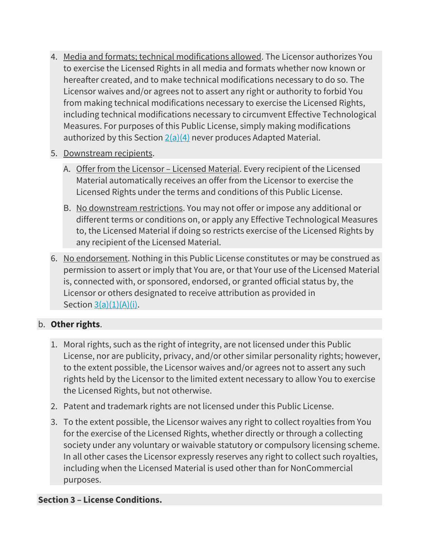- 4. Media and formats; technical modifications allowed. The Licensor authorizes You to exercise the Licensed Rights in all media and formats whether now known or hereafter created, and to make technical modifications necessary to do so. The Licensor waives and/or agrees not to assert any right or authority to forbid You from making technical modifications necessary to exercise the Licensed Rights, including technical modifications necessary to circumvent Effective Technological Measures. For purposes of this Public License, simply making modifications authorized by this Section  $2(a)(4)$  never produces Adapted Material.
- 5. Downstream recipients.
	- A. Offer from the Licensor Licensed Material. Every recipient of the Licensed Material automatically receives an offer from the Licensor to exercise the Licensed Rights under the terms and conditions of this Public License.
	- B. No downstream restrictions. You may not offer or impose any additional or different terms or conditions on, or apply any Effective Technological Measures to, the Licensed Material if doing so restricts exercise of the Licensed Rights by any recipient of the Licensed Material.
- 6. No endorsement. Nothing in this Public License constitutes or may be construed as permission to assert or imply that You are, or that Your use of the Licensed Material is, connected with, or sponsored, endorsed, or granted official status by, the Licensor or others designated to receive attribution as provided in Section  $3(a)(1)(A)(i)$ .

#### b. **Other rights**.

- 1. Moral rights, such as the right of integrity, are not licensed under this Public License, nor are publicity, privacy, and/or other similar personality rights; however, to the extent possible, the Licensor waives and/or agrees not to assert any such rights held by the Licensor to the limited extent necessary to allow You to exercise the Licensed Rights, but not otherwise.
- 2. Patent and trademark rights are not licensed under this Public License.
- 3. To the extent possible, the Licensor waives any right to collect royalties from You for the exercise of the Licensed Rights, whether directly or through a collecting society under any voluntary or waivable statutory or compulsory licensing scheme. In all other cases the Licensor expressly reserves any right to collect such royalties, including when the Licensed Material is used other than for NonCommercial purposes.

#### **Section 3 – License Conditions.**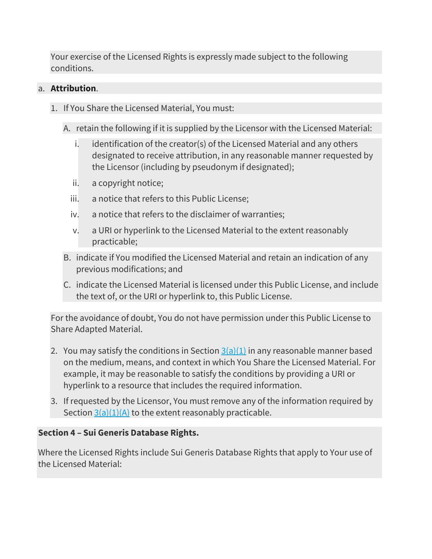Your exercise of the Licensed Rights is expressly made subject to the following conditions.

#### a. **Attribution**.

- 1. If You Share the Licensed Material, You must:
	- A. retain the following if it is supplied by the Licensor with the Licensed Material:
		- i. identification of the creator(s) of the Licensed Material and any others designated to receive attribution, in any reasonable manner requested by the Licensor (including by pseudonym if designated);
		- ii. a copyright notice;
		- iii. a notice that refers to this Public License;
		- iv. a notice that refers to the disclaimer of warranties;
		- v. a URI or hyperlink to the Licensed Material to the extent reasonably practicable;
	- B. indicate if You modified the Licensed Material and retain an indication of any previous modifications; and
	- C. indicate the Licensed Material is licensed under this Public License, and include the text of, or the URI or hyperlink to, this Public License.

For the avoidance of doubt, You do not have permission under this Public License to Share Adapted Material.

- 2. You may satisfy the conditions in Section  $3(a)(1)$  in any reasonable manner based on the medium, means, and context in which You Share the Licensed Material. For example, it may be reasonable to satisfy the conditions by providing a URI or hyperlink to a resource that includes the required information.
- 3. If requested by the Licensor, You must remove any of the information required by Section  $3(a)(1)(A)$  to the extent reasonably practicable.

## **Section 4 – Sui Generis Database Rights.**

Where the Licensed Rights include Sui Generis Database Rights that apply to Your use of the Licensed Material: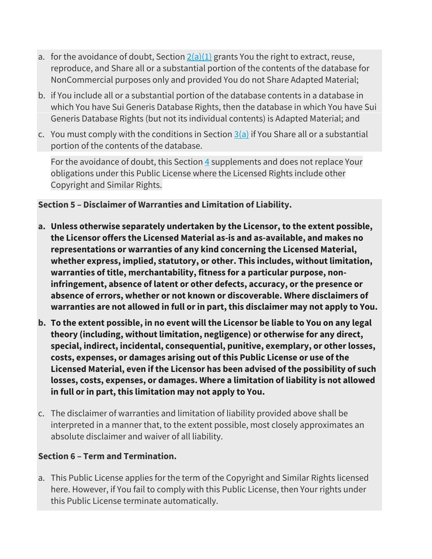- a. for the avoidance of doubt, Section  $2(a)(1)$  grants You the right to extract, reuse, reproduce, and Share all or a substantial portion of the contents of the database for NonCommercial purposes only and provided You do not Share Adapted Material;
- b. if You include all or a substantial portion of the database contents in a database in which You have Sui Generis Database Rights, then the database in which You have Sui Generis Database Rights (but not its individual contents) is Adapted Material; and
- c. You must comply with the conditions in Section  $3(a)$  if You Share all or a substantial portion of the contents of the database.

For the avoidance of doubt, this Section  $\frac{4}{5}$  $\frac{4}{5}$  $\frac{4}{5}$  supplements and does not replace Your obligations under this Public License where the Licensed Rights include other Copyright and Similar Rights.

#### **Section 5 – Disclaimer of Warranties and Limitation of Liability.**

- **a. Unless otherwise separately undertaken by the Licensor, to the extent possible, the Licensor offers the Licensed Material as-is and as-available, and makes no representations or warranties of any kind concerning the Licensed Material, whether express, implied, statutory, or other. This includes, without limitation, warranties of title, merchantability, fitness for a particular purpose, noninfringement, absence of latent or other defects, accuracy, or the presence or absence of errors, whether or not known or discoverable. Where disclaimers of warranties are not allowed in full or in part, this disclaimer may not apply to You.**
- **b. To the extent possible, in no event will the Licensor be liable to You on any legal theory (including, without limitation, negligence) or otherwise for any direct, special, indirect, incidental, consequential, punitive, exemplary, or other losses, costs, expenses, or damages arising out of this Public License or use of the Licensed Material, even if the Licensor has been advised of the possibility of such losses, costs, expenses, or damages. Where a limitation of liability is not allowed in full or in part, this limitation may not apply to You.**
- c. The disclaimer of warranties and limitation of liability provided above shall be interpreted in a manner that, to the extent possible, most closely approximates an absolute disclaimer and waiver of all liability.

## **Section 6 – Term and Termination.**

a. This Public License applies for the term of the Copyright and Similar Rights licensed here. However, if You fail to comply with this Public License, then Your rights under this Public License terminate automatically.